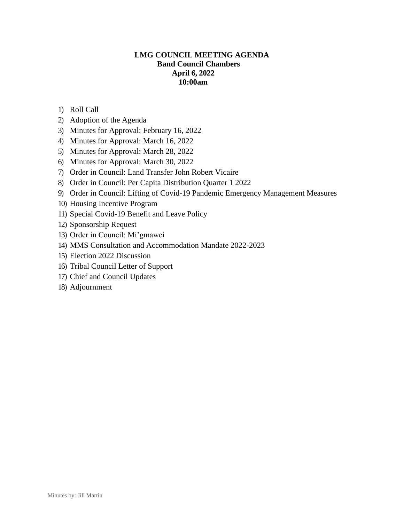# **LMG COUNCIL MEETING AGENDA Band Council Chambers April 6, 2022 10:00am**

- 1) Roll Call
- 2) Adoption of the Agenda
- 3) Minutes for Approval: February 16, 2022
- 4) Minutes for Approval: March 16, 2022
- 5) Minutes for Approval: March 28, 2022
- 6) Minutes for Approval: March 30, 2022
- 7) Order in Council: Land Transfer John Robert Vicaire
- 8) Order in Council: Per Capita Distribution Quarter 1 2022
- 9) Order in Council: Lifting of Covid-19 Pandemic Emergency Management Measures
- 10) Housing Incentive Program
- 11) Special Covid-19 Benefit and Leave Policy
- 12) Sponsorship Request
- 13) Order in Council: Mi'gmawei
- 14) MMS Consultation and Accommodation Mandate 2022-2023
- 15) Election 2022 Discussion
- 16) Tribal Council Letter of Support
- 17) Chief and Council Updates
- 18) Adjournment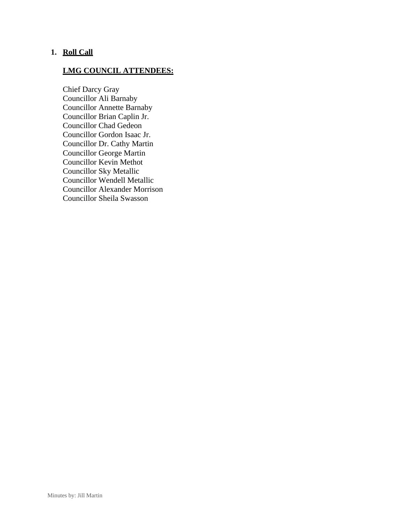# **1. Roll Call**

# **LMG COUNCIL ATTENDEES:**

Chief Darcy Gray Councillor Ali Barnaby Councillor Annette Barnaby Councillor Brian Caplin Jr. Councillor Chad Gedeon Councillor Gordon Isaac Jr. Councillor Dr. Cathy Martin Councillor George Martin Councillor Kevin Methot Councillor Sky Metallic Councillor Wendell Metallic Councillor Alexander Morrison Councillor Sheila Swasson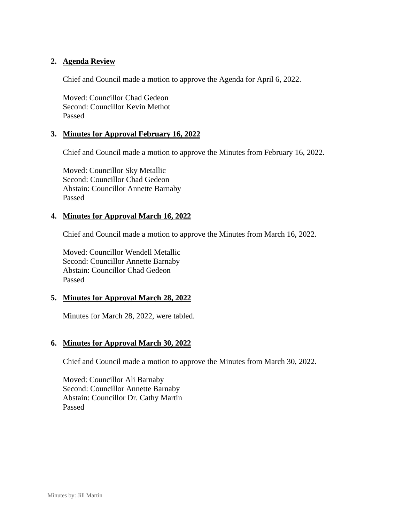# **2. Agenda Review**

Chief and Council made a motion to approve the Agenda for April 6, 2022.

Moved: Councillor Chad Gedeon Second: Councillor Kevin Methot Passed

## **3. Minutes for Approval February 16, 2022**

Chief and Council made a motion to approve the Minutes from February 16, 2022.

Moved: Councillor Sky Metallic Second: Councillor Chad Gedeon Abstain: Councillor Annette Barnaby Passed

#### **4. Minutes for Approval March 16, 2022**

Chief and Council made a motion to approve the Minutes from March 16, 2022.

Moved: Councillor Wendell Metallic Second: Councillor Annette Barnaby Abstain: Councillor Chad Gedeon Passed

## **5. Minutes for Approval March 28, 2022**

Minutes for March 28, 2022, were tabled.

#### **6. Minutes for Approval March 30, 2022**

Chief and Council made a motion to approve the Minutes from March 30, 2022.

Moved: Councillor Ali Barnaby Second: Councillor Annette Barnaby Abstain: Councillor Dr. Cathy Martin Passed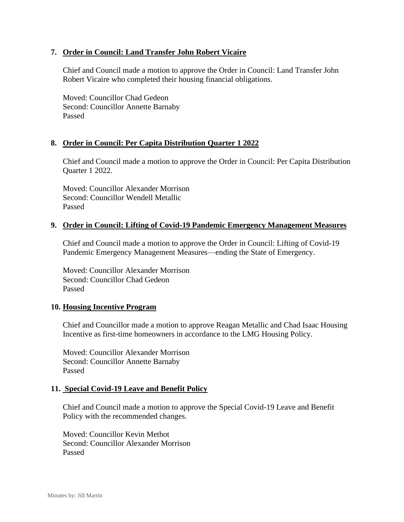# **7. Order in Council: Land Transfer John Robert Vicaire**

Chief and Council made a motion to approve the Order in Council: Land Transfer John Robert Vicaire who completed their housing financial obligations.

Moved: Councillor Chad Gedeon Second: Councillor Annette Barnaby Passed

## **8. Order in Council: Per Capita Distribution Quarter 1 2022**

Chief and Council made a motion to approve the Order in Council: Per Capita Distribution Quarter 1 2022.

Moved: Councillor Alexander Morrison Second: Councillor Wendell Metallic Passed

#### **9. Order in Council: Lifting of Covid-19 Pandemic Emergency Management Measures**

Chief and Council made a motion to approve the Order in Council: Lifting of Covid-19 Pandemic Emergency Management Measures—ending the State of Emergency.

Moved: Councillor Alexander Morrison Second: Councillor Chad Gedeon Passed

## **10. Housing Incentive Program**

Chief and Councillor made a motion to approve Reagan Metallic and Chad Isaac Housing Incentive as first-time homeowners in accordance to the LMG Housing Policy.

Moved: Councillor Alexander Morrison Second: Councillor Annette Barnaby Passed

#### **11. Special Covid-19 Leave and Benefit Policy**

Chief and Council made a motion to approve the Special Covid-19 Leave and Benefit Policy with the recommended changes.

Moved: Councillor Kevin Methot Second: Councillor Alexander Morrison Passed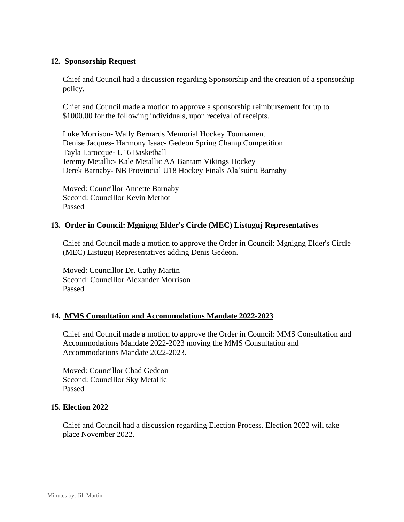# **12. Sponsorship Request**

Chief and Council had a discussion regarding Sponsorship and the creation of a sponsorship policy.

Chief and Council made a motion to approve a sponsorship reimbursement for up to \$1000.00 for the following individuals, upon receival of receipts.

Luke Morrison- Wally Bernards Memorial Hockey Tournament Denise Jacques- Harmony Isaac- Gedeon Spring Champ Competition Tayla Larocque- U16 Basketball Jeremy Metallic- Kale Metallic AA Bantam Vikings Hockey Derek Barnaby- NB Provincial U18 Hockey Finals Ala'suinu Barnaby

Moved: Councillor Annette Barnaby Second: Councillor Kevin Methot Passed

# **13. Order in Council: Mgnigng Elder's Circle (MEC) Listuguj Representatives**

Chief and Council made a motion to approve the Order in Council: Mgnigng Elder's Circle (MEC) Listuguj Representatives adding Denis Gedeon.

Moved: Councillor Dr. Cathy Martin Second: Councillor Alexander Morrison Passed

## **14. MMS Consultation and Accommodations Mandate 2022-2023**

Chief and Council made a motion to approve the Order in Council: MMS Consultation and Accommodations Mandate 2022-2023 moving the MMS Consultation and Accommodations Mandate 2022-2023.

Moved: Councillor Chad Gedeon Second: Councillor Sky Metallic Passed

## **15. Election 2022**

Chief and Council had a discussion regarding Election Process. Election 2022 will take place November 2022.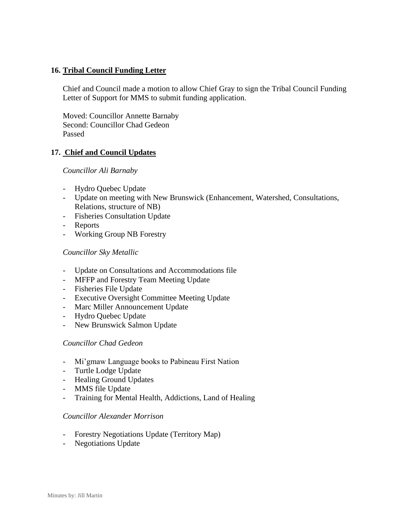# **16. Tribal Council Funding Letter**

Chief and Council made a motion to allow Chief Gray to sign the Tribal Council Funding Letter of Support for MMS to submit funding application.

Moved: Councillor Annette Barnaby Second: Councillor Chad Gedeon Passed

## **17. Chief and Council Updates**

#### *Councillor Ali Barnaby*

- Hydro Quebec Update
- Update on meeting with New Brunswick (Enhancement, Watershed, Consultations, Relations, structure of NB)
- Fisheries Consultation Update
- Reports
- Working Group NB Forestry

## *Councillor Sky Metallic*

- Update on Consultations and Accommodations file
- MFFP and Forestry Team Meeting Update
- Fisheries File Update
- Executive Oversight Committee Meeting Update
- Marc Miller Announcement Update
- Hydro Quebec Update
- New Brunswick Salmon Update

## *Councillor Chad Gedeon*

- Mi'gmaw Language books to Pabineau First Nation
- Turtle Lodge Update
- Healing Ground Updates
- MMS file Update
- Training for Mental Health, Addictions, Land of Healing

#### *Councillor Alexander Morrison*

- Forestry Negotiations Update (Territory Map)
- Negotiations Update